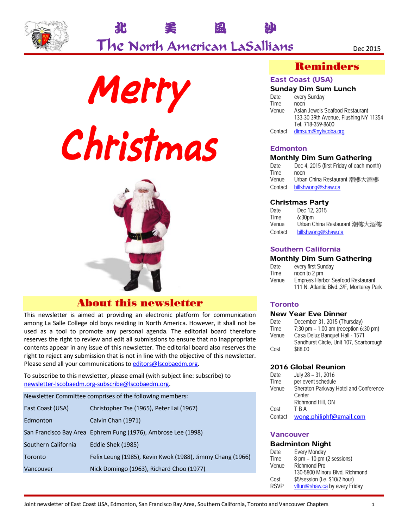







## About this newsletter

This newsletter is aimed at providing an electronic platform for communication among La Salle College old boys residing in North America. However, it shall not be used as a tool to promote any personal agenda. The editorial board therefore reserves the right to review and edit all submissions to ensure that no inappropriate contents appear in any issue of this newsletter. The editorial board also reserves the right to reject any submission that is not in line with the objective of this newsletter. Please send all your communications to editors@lscobaedm.org.

To subscribe to this newsletter, please email (with subject line: subscribe) to newsletter-lscobaedm.org-subscribe@lscobaedm.org.

| Newsletter Committee comprises of the following members: |                                                               |  |
|----------------------------------------------------------|---------------------------------------------------------------|--|
| East Coast (USA)                                         | Christopher Tse (1965), Peter Lai (1967)                      |  |
| Edmonton                                                 | Calvin Chan (1971)                                            |  |
|                                                          | San Francisco Bay Area Ephrem Fung (1976), Ambrose Lee (1998) |  |
| Southern California                                      | Eddie Shek (1985)                                             |  |
| Toronto                                                  | Felix Leung (1985), Kevin Kwok (1988), Jimmy Chang (1966)     |  |
| Vancouver                                                | Nick Domingo (1963), Richard Choo (1977)                      |  |
|                                                          |                                                               |  |

## Reminders

### East Coast (USA)

#### Sunday Dim Sum Lunch

| every Sunday                          |
|---------------------------------------|
| noon                                  |
| Asian Jewels Seafood Restaurant       |
| 133-30 39th Avenue, Flushing NY 11354 |
| Tel. 718-359-8600                     |
| dimsum@nylscoba.org                   |
|                                       |

#### **Edmonton**

#### Monthly Dim Sum Gathering

| Date    | Dec 4, 2015 (first Friday of each month) |
|---------|------------------------------------------|
| Time    | noon                                     |
| Venue   | Urban China Restaurant 潮樓大酒樓             |
| Contact | billshwong@shaw.ca                       |

#### Christmas Party

| Date    | Dec 12, 2015                 |
|---------|------------------------------|
| Time    | 6:30 <sub>pm</sub>           |
| Venue   | Urban China Restaurant 潮樓大酒樓 |
| Contact | billshwong@shaw.ca           |

#### Southern California

#### Monthly Dim Sum Gathering

| Date  | every first Sunday                        |
|-------|-------------------------------------------|
| Time  | noon to 2 pm                              |
| Venue | <b>Empress Harbor Seafood Restaurant</b>  |
|       | 111 N. Atlantic Blvd., 3/F, Monterey Park |

### **Toronto**

#### New Year Eve Dinner

| Date  | December 31, 2015 (Thursday)            |
|-------|-----------------------------------------|
| Time  | 7:30 pm $- 1:00$ am (reception 6:30 pm) |
| Venue | Casa Deluz Banguet Hall - 1571          |
|       | Sandhurst Circle, Unit 107, Scarborough |
| Cost  | \$88.00                                 |
|       |                                         |

#### 2016 Global Reunion

| Date    | July 28 - 31, 2016                    |
|---------|---------------------------------------|
| Time    | per event schedule                    |
| Venue   | Sheraton Parkway Hotel and Conference |
|         | Center                                |
|         | Richmond Hill, ON                     |
| Cost    | T B A                                 |
| Contact | wong.philiphf@gmail.com               |

#### Vancouver

#### Badminton Night

| <b>Every Monday</b>                         |
|---------------------------------------------|
|                                             |
| $8 \text{ pm} - 10 \text{ pm}$ (2 sessions) |
| Richmond Pro                                |
| 130-5800 Minoru Blvd, Richmond              |
| \$5/session (i.e. \$10/2 hour)              |
| vlfun@shaw.ca by every Friday               |
|                                             |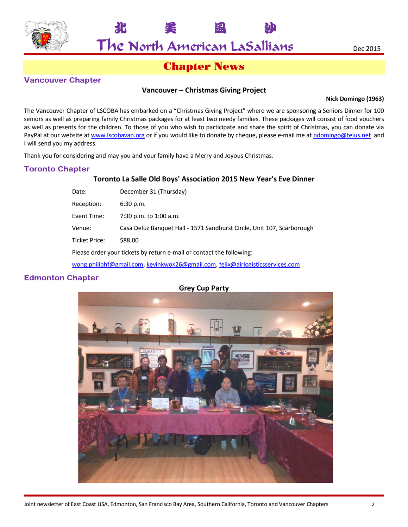

The North American LaSallians Dec 2015

北 美 風 沙

## Chapter News

### Vancouver Chapter

### **Vancouver – Christmas Giving Project**

#### **Nick Domingo (1963)**

The Vancouver Chapter of LSCOBA has embarked on a "Christmas Giving Project" where we are sponsoring a Seniors Dinner for 100 seniors as well as preparing family Christmas packages for at least two needy families. These packages will consist of food vouchers as well as presents for the children. To those of you who wish to participate and share the spirit of Christmas, you can donate via PayPal at our website at www.lscobavan.org or if you would like to donate by cheque, please e-mail me at ndomingo@telus.net and I will send you my address.

Thank you for considering and may you and your family have a Merry and Joyous Christmas.

## Toronto Chapter

#### **Toronto La Salle Old Boys' Association 2015 New Year's Eve Dinner**

| Date:                                                                          | December 31 (Thursday)                                                 |
|--------------------------------------------------------------------------------|------------------------------------------------------------------------|
| Reception:                                                                     | $6:30$ p.m.                                                            |
| Event Time:                                                                    | 7:30 p.m. to 1:00 a.m.                                                 |
| Venue:                                                                         | Casa Deluz Banquet Hall - 1571 Sandhurst Circle, Unit 107, Scarborough |
| <b>Ticket Price:</b><br>\$88.00                                                |                                                                        |
| Please order your tickets by return e-mail or contact the following:           |                                                                        |
| wong.philiphf@gmail.com, kevinkwok26@gmail.com, felix@airlogisticsservices.com |                                                                        |

Edmonton Chapter

## **Grey Cup Party**

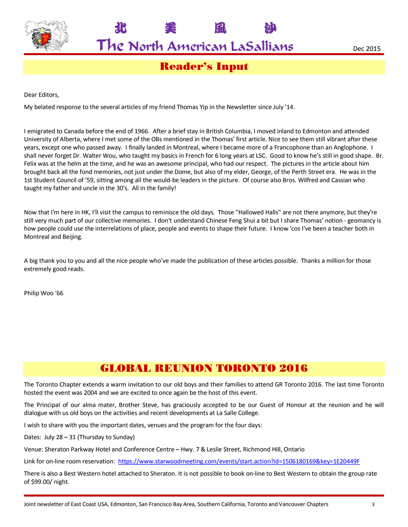

The North American LaSallians Dec 2015

北 美 風 沙

Reader's Input

Dear Editors,

My belated response to the several articles of my friend Thomas Yip in the Newsletter since July '14.

I emigrated to Canada before the end of 1966. After a brief stay in British Columbia, I moved inland to Edmonton and attended University of Alberta, where I met some of the OBs mentioned in the Thomas' first article. Nice to see them still vibrant after these years, except one who passed away. I finally landed in Montreal, where I became more of a Francophone than an Anglophone. I shall never forget Dr. Walter Wou, who taught my basics in French for 6 long years at LSC. Good to know he's still in good shape. Br. Felix was at the helm at the time, and he was an awesome principal, who had our respect. The pictures in the article about him brought back all the fond memories, not just under the Dome, but also of my elder, George, of the Perth Street era. He was in the 1st Student Council of '59, sitting among all the would-be leaders in the picture. Of course also Bros. Wilfred and Cassian who taught my father and uncle in the 30's. All in the family!

Now that I'm here in HK, I'll visit the campus to reminisce the old days. Those "Hallowed Halls" are not there anymore, but they're still very much part of our collective memories. I don't understand Chinese Feng Shui a bit but I share Thomas' notion - geomancy is how people could use the interrelations of place, people and events to shape their future. I know 'cos I've been a teacher both in Montreal and Beijing.

A big thank you to you and all the nice people who've made the publication of these articles possible. Thanks a million for those extremely good reads.

Philip Woo '66

# GLOBAL REUNION TORONTO 2016

The Toronto Chapter extends a warm invitation to our old boys and their families to attend GR Toronto 2016. The last time Toronto hosted the event was 2004 and we are excited to once again be the host of this event.

The Principal of our alma mater, Brother Steve, has graciously accepted to be our Guest of Honour at the reunion and he will dialogue with us old boys on the activities and recent developments at La Salle College.

I wish to share with you the important dates, venues and the program for the four days:

Dates: July 28 – 31 (Thursday to Sunday)

Venue: Sheraton Parkway Hotel and Conference Centre – Hwy. 7 & Leslie Street, Richmond Hill, Ontario

Link for on-line room reservation: https://www.starwoodmeeting.com/events/start.action?id=1506180169&key=1E20449F

There is also a Best Western hotel attached to Sheraton. It is not possible to book on-line to Best Western to obtain the group rate of \$99.00/ night.